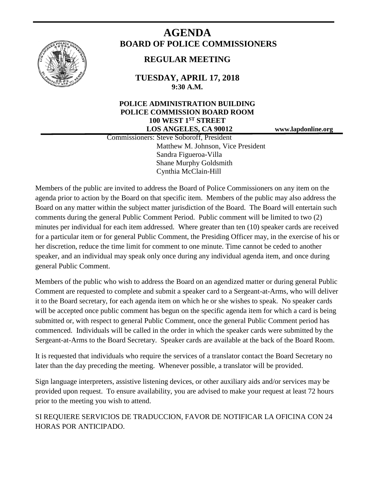

# **AGENDA BOARD OF POLICE COMMISSIONERS**

# **REGULAR MEETING**

**TUESDAY, APRIL 17, 2018 9:30 A.M.**

## **POLICE ADMINISTRATION BUILDING POLICE COMMISSION BOARD ROOM 100 WEST 1ST STREET LOS ANGELES, CA 90012 www.lapdonline.org**

 Commissioners: Steve Soboroff, President Matthew M. Johnson, Vice President Sandra Figueroa-Villa Shane Murphy Goldsmith Cynthia McClain-Hill

Members of the public are invited to address the Board of Police Commissioners on any item on the agenda prior to action by the Board on that specific item. Members of the public may also address the Board on any matter within the subject matter jurisdiction of the Board. The Board will entertain such comments during the general Public Comment Period. Public comment will be limited to two (2) minutes per individual for each item addressed. Where greater than ten (10) speaker cards are received for a particular item or for general Public Comment, the Presiding Officer may, in the exercise of his or her discretion, reduce the time limit for comment to one minute. Time cannot be ceded to another speaker, and an individual may speak only once during any individual agenda item, and once during general Public Comment.

Members of the public who wish to address the Board on an agendized matter or during general Public Comment are requested to complete and submit a speaker card to a Sergeant-at-Arms, who will deliver it to the Board secretary, for each agenda item on which he or she wishes to speak. No speaker cards will be accepted once public comment has begun on the specific agenda item for which a card is being submitted or, with respect to general Public Comment, once the general Public Comment period has commenced. Individuals will be called in the order in which the speaker cards were submitted by the Sergeant-at-Arms to the Board Secretary. Speaker cards are available at the back of the Board Room.

It is requested that individuals who require the services of a translator contact the Board Secretary no later than the day preceding the meeting. Whenever possible, a translator will be provided.

Sign language interpreters, assistive listening devices, or other auxiliary aids and/or services may be provided upon request. To ensure availability, you are advised to make your request at least 72 hours prior to the meeting you wish to attend.

SI REQUIERE SERVICIOS DE TRADUCCION, FAVOR DE NOTIFICAR LA OFICINA CON 24 HORAS POR ANTICIPADO.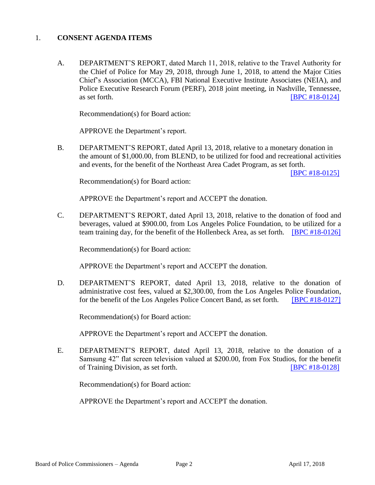#### 1. **CONSENT AGENDA ITEMS**

A. DEPARTMENT'S REPORT, dated March 11, 2018, relative to the Travel Authority for the Chief of Police for May 29, 2018, through June 1, 2018, to attend the Major Cities Chief's Association (MCCA), FBI National Executive Institute Associates (NEIA), and Police Executive Research Forum (PERF), 2018 joint meeting, in Nashville, Tennessee, as set forth. **IBPC** #18-0124]

Recommendation(s) for Board action:

APPROVE the Department's report.

B. DEPARTMENT'S REPORT, dated April 13, 2018, relative to a monetary donation in the amount of \$1,000.00, from BLEND, to be utilized for food and recreational activities and events, for the benefit of the Northeast Area Cadet Program, as set forth.

[\[BPC #18-0125\]](http://www.lapdpolicecom.lacity.org/041718/BPC_18-0125.pdf)

Recommendation(s) for Board action:

APPROVE the Department's report and ACCEPT the donation.

C. DEPARTMENT'S REPORT, dated April 13, 2018, relative to the donation of food and beverages, valued at \$900.00, from Los Angeles Police Foundation, to be utilized for a team training day, for the benefit of the Hollenbeck Area, as set forth. **[\[BPC #18-0126\]](http://www.lapdpolicecom.lacity.org/041718/BPC_18-0126.pdf)** 

Recommendation(s) for Board action:

APPROVE the Department's report and ACCEPT the donation.

D. DEPARTMENT'S REPORT, dated April 13, 2018, relative to the donation of administrative cost fees, valued at \$2,300.00, from the Los Angeles Police Foundation, for the benefit of the Los Angeles Police Concert Band, as set forth. [\[BPC #18-0127\]](http://www.lapdpolicecom.lacity.org/041718/BPC_18-0127.pdf)

Recommendation(s) for Board action:

APPROVE the Department's report and ACCEPT the donation.

E. DEPARTMENT'S REPORT, dated April 13, 2018, relative to the donation of a Samsung 42" flat screen television valued at \$200.00, from Fox Studios, for the benefit of Training Division, as set forth. [\[BPC #18-0128\]](http://www.lapdpolicecom.lacity.org/041718/BPC_18-0128.pdf)

Recommendation(s) for Board action:

APPROVE the Department's report and ACCEPT the donation.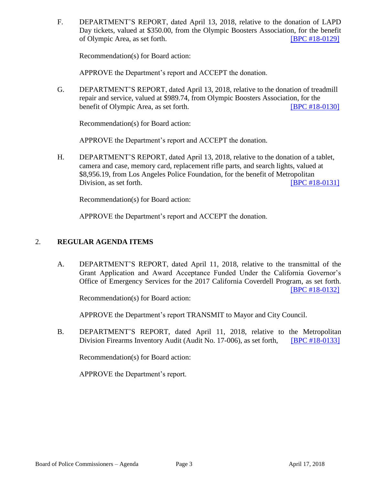F. DEPARTMENT'S REPORT, dated April 13, 2018, relative to the donation of LAPD Day tickets, valued at \$350.00, from the Olympic Boosters Association, for the benefit of Olympic Area, as set forth. [\[BPC #18-0129\]](http://www.lapdpolicecom.lacity.org/041718/BPC_18-0129.pdf)

Recommendation(s) for Board action:

APPROVE the Department's report and ACCEPT the donation.

G. DEPARTMENT'S REPORT, dated April 13, 2018, relative to the donation of treadmill repair and service, valued at \$989.74, from Olympic Boosters Association, for the benefit of Olympic Area, as set forth. **[\[BPC #18-0130\]](http://www.lapdpolicecom.lacity.org/041718/BPC_18-0130.pdf)** 

Recommendation(s) for Board action:

APPROVE the Department's report and ACCEPT the donation.

H. DEPARTMENT'S REPORT, dated April 13, 2018, relative to the donation of a tablet, camera and case, memory card, replacement rifle parts, and search lights, valued at \$8,956.19, from Los Angeles Police Foundation, for the benefit of Metropolitan Division, as set forth. **[\[BPC #18-0131\]](http://www.lapdpolicecom.lacity.org/041718/BPC_18-0131.pdf)** 

Recommendation(s) for Board action:

APPROVE the Department's report and ACCEPT the donation.

#### 2. **REGULAR AGENDA ITEMS**

 A. DEPARTMENT'S REPORT, dated April 11, 2018, relative to the transmittal of the Grant Application and Award Acceptance Funded Under the California Governor's Office of Emergency Services for the 2017 California Coverdell Program, as set forth. [\[BPC #18-0132\]](http://www.lapdpolicecom.lacity.org/041718/BPC_18-0132.pdf)

Recommendation(s) for Board action:

APPROVE the Department's report TRANSMIT to Mayor and City Council.

B. DEPARTMENT'S REPORT, dated April 11, 2018, relative to the Metropolitan Division Firearms Inventory Audit (Audit No. 17-006), as set forth, [\[BPC #18-0133\]](http://www.lapdpolicecom.lacity.org/041718/BPC_18-0133.pdf)

Recommendation(s) for Board action:

APPROVE the Department's report.